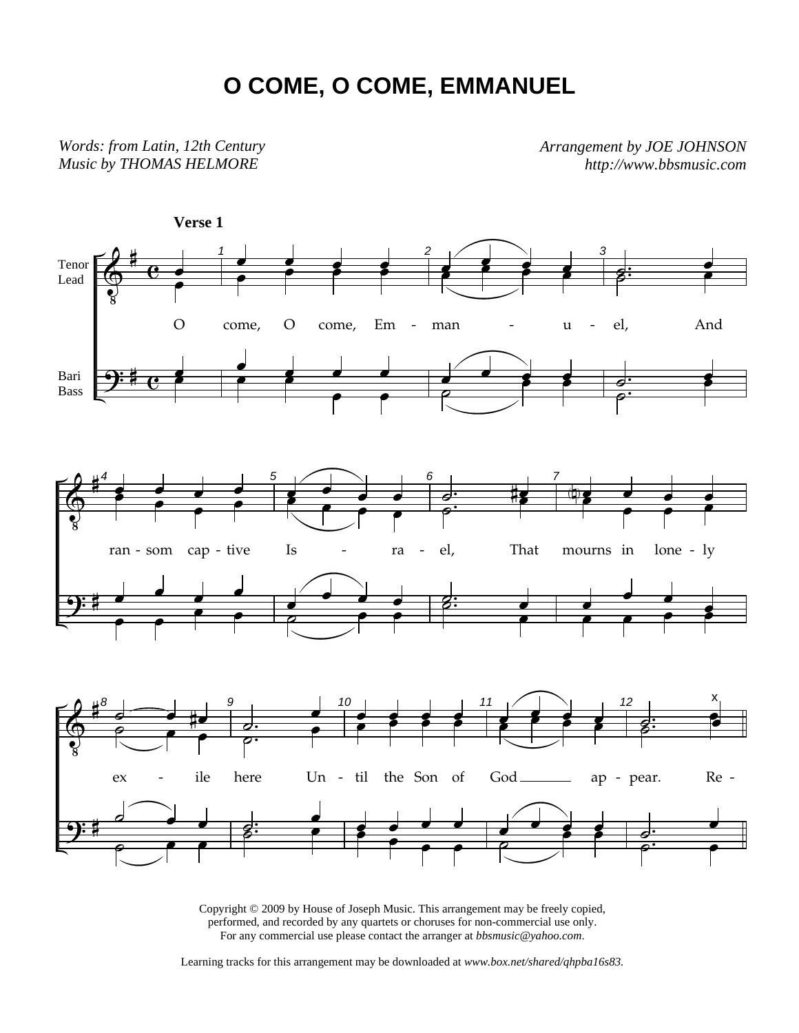## **O COME, O COME, EMMANUEL**

*Words: from Latin, 12th Century Music by THOMAS HELMORE*

*Arrangement by JOE JOHNSON http://www.bbsmusic.com*



Copyright © 2009 by House of Joseph Music. This arrangement may be freely copied, performed, and recorded by any quartets or choruses for non-commercial use only. For any commercial use please contact the arranger at *bbsmusic@yahoo.com*.

Learning tracks for this arrangement may be downloaded at *www.box.net/shared/qhpba16s83.*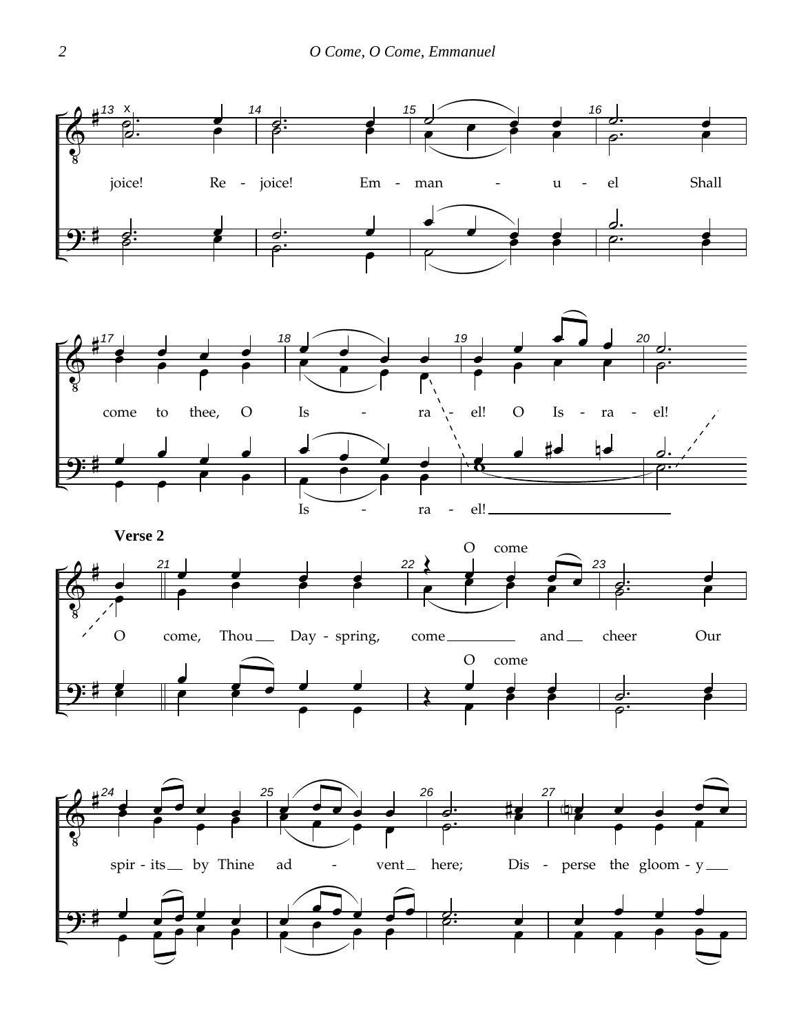





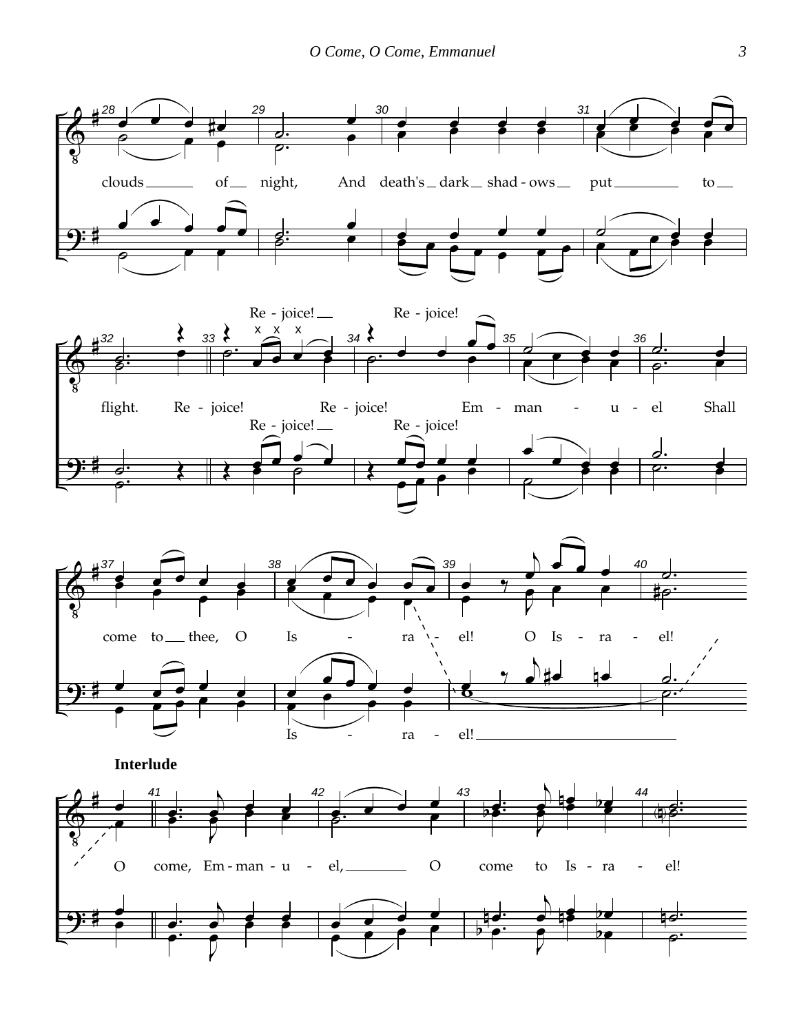





**Interlude** 

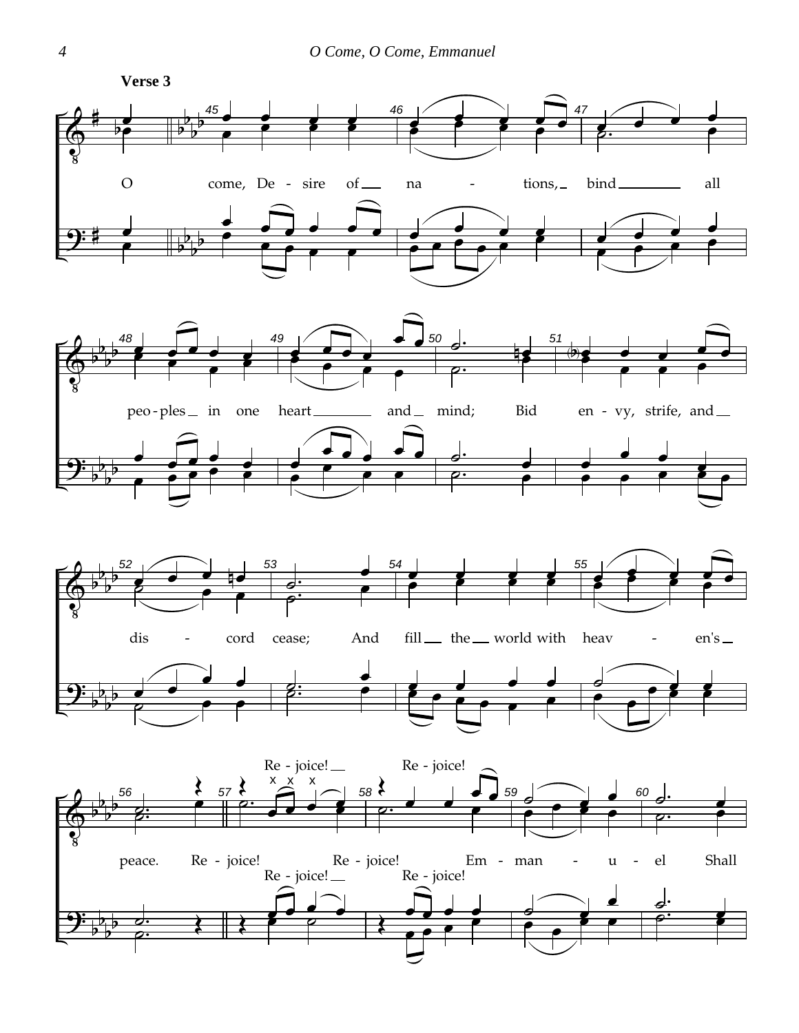